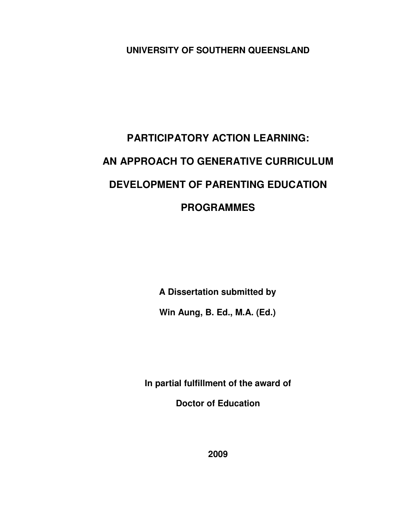**UNIVERSITY OF SOUTHERN QUEENSLAND**

# **PARTICIPATORY ACTION LEARNING: AN APPROACH TO GENERATIVE CURRICULUM DEVELOPMENT OF PARENTING EDUCATION PROGRAMMES**

**A Dissertation submitted by**

**Win Aung, B. Ed., M.A. (Ed.)**

**In partial fulfillment of the award of**

**Doctor of Education**

**2009**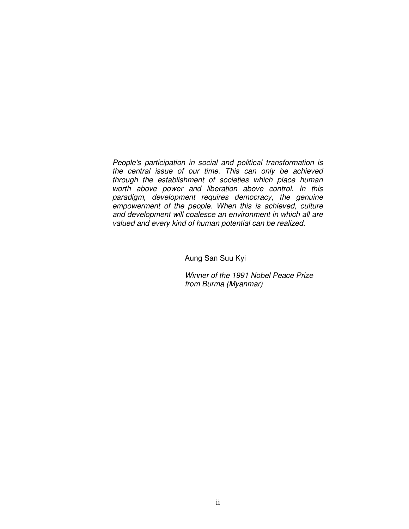*People's participation in social and political transformation is the central issue of our time. This can only be achieved through the establishment of societies which place human worth above power and liberation above control. In this paradigm, development requires democracy, the genuine empowerment of the people. When this is achieved, culture and development will coalesce an environment in which all are valued and every kind of human potential can be realized.*

Aung San Suu Kyi

*Winner of the 1991 Nobel Peace Prize from Burma (Myanmar)*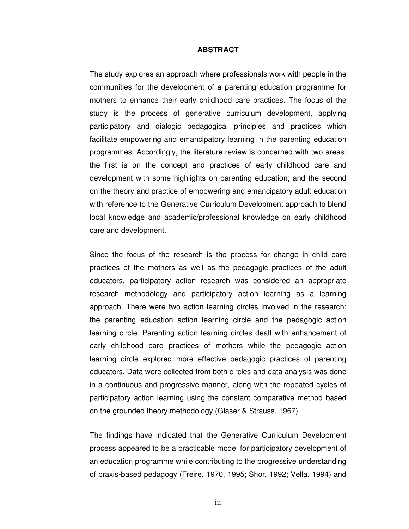#### **ABSTRACT**

The study explores an approach where professionals work with people in the communities for the development of a parenting education programme for mothers to enhance their early childhood care practices. The focus of the study is the process of generative curriculum development, applying participatory and dialogic pedagogical principles and practices which facilitate empowering and emancipatory learning in the parenting education programmes. Accordingly, the literature review is concerned with two areas: the first is on the concept and practices of early childhood care and development with some highlights on parenting education; and the second on the theory and practice of empowering and emancipatory adult education with reference to the Generative Curriculum Development approach to blend local knowledge and academic/professional knowledge on early childhood care and development.

Since the focus of the research is the process for change in child care practices of the mothers as well as the pedagogic practices of the adult educators, participatory action research was considered an appropriate research methodology and participatory action learning as a learning approach. There were two action learning circles involved in the research: the parenting education action learning circle and the pedagogic action learning circle. Parenting action learning circles dealt with enhancement of early childhood care practices of mothers while the pedagogic action learning circle explored more effective pedagogic practices of parenting educators. Data were collected from both circles and data analysis was done in a continuous and progressive manner, along with the repeated cycles of participatory action learning using the constant comparative method based on the grounded theory methodology (Glaser & Strauss, 1967).

The findings have indicated that the Generative Curriculum Development process appeared to be a practicable model for participatory development of an education programme while contributing to the progressive understanding of praxis-based pedagogy (Freire, 1970, 1995; Shor, 1992; Vella, 1994) and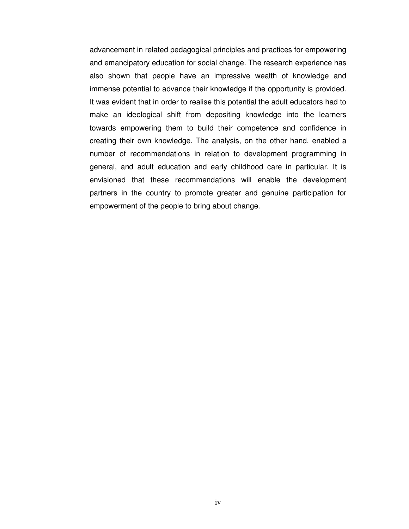advancement in related pedagogical principles and practices for empowering and emancipatory education for social change. The research experience has also shown that people have an impressive wealth of knowledge and immense potential to advance their knowledge if the opportunity is provided. It was evident that in order to realise this potential the adult educators had to make an ideological shift from depositing knowledge into the learners towards empowering them to build their competence and confidence in creating their own knowledge. The analysis, on the other hand, enabled a number of recommendations in relation to development programming in general, and adult education and early childhood care in particular. It is envisioned that these recommendations will enable the development partners in the country to promote greater and genuine participation for empowerment of the people to bring about change.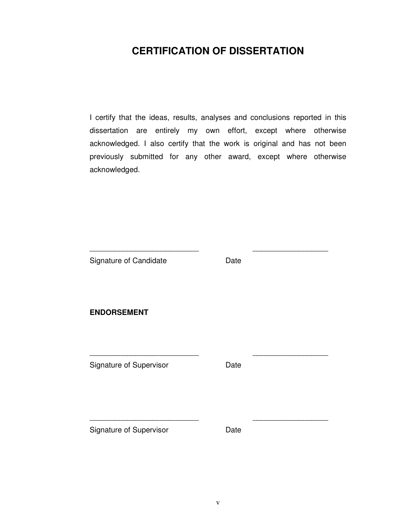## **CERTIFICATION OF DISSERTATION**

I certify that the ideas, results, analyses and conclusions reported in this dissertation are entirely my own effort, except where otherwise acknowledged. I also certify that the work is original and has not been previously submitted for any other award, except where otherwise acknowledged.

Signature of Candidate **Date** 

\_\_\_\_\_\_\_\_\_\_\_\_\_\_\_\_\_\_\_\_\_\_\_\_\_\_ \_\_\_\_\_\_\_\_\_\_\_\_\_\_\_\_\_\_

\_\_\_\_\_\_\_\_\_\_\_\_\_\_\_\_\_\_\_\_\_\_\_\_\_\_ \_\_\_\_\_\_\_\_\_\_\_\_\_\_\_\_\_\_

\_\_\_\_\_\_\_\_\_\_\_\_\_\_\_\_\_\_\_\_\_\_\_\_\_\_ \_\_\_\_\_\_\_\_\_\_\_\_\_\_\_\_\_\_

**ENDORSEMENT**

Signature of Supervisor **Date** 

Signature of Supervisor **Date**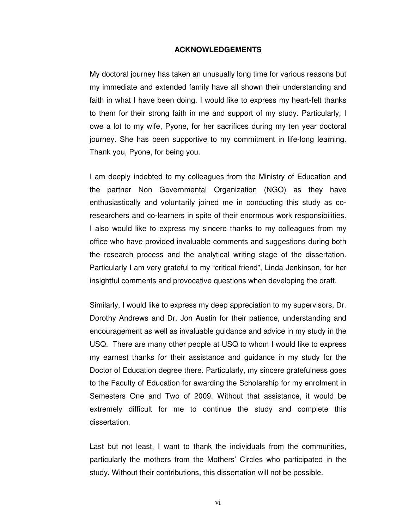#### **ACKNOWLEDGEMENTS**

My doctoral journey has taken an unusually long time for various reasons but my immediate and extended family have all shown their understanding and faith in what I have been doing. I would like to express my heart-felt thanks to them for their strong faith in me and support of my study. Particularly, I owe a lot to my wife, Pyone, for her sacrifices during my ten year doctoral journey. She has been supportive to my commitment in life-long learning. Thank you, Pyone, for being you.

I am deeply indebted to my colleagues from the Ministry of Education and the partner Non Governmental Organization (NGO) as they have enthusiastically and voluntarily joined me in conducting this study as coresearchers and co-learners in spite of their enormous work responsibilities. I also would like to express my sincere thanks to my colleagues from my office who have provided invaluable comments and suggestions during both the research process and the analytical writing stage of the dissertation. Particularly I am very grateful to my "critical friend", Linda Jenkinson, for her insightful comments and provocative questions when developing the draft.

Similarly, I would like to express my deep appreciation to my supervisors, Dr. Dorothy Andrews and Dr. Jon Austin for their patience, understanding and encouragement as well as invaluable guidance and advice in my study in the USQ. There are many other people at USQ to whom I would like to express my earnest thanks for their assistance and guidance in my study for the Doctor of Education degree there. Particularly, my sincere gratefulness goes to the Faculty of Education for awarding the Scholarship for my enrolment in Semesters One and Two of 2009. Without that assistance, it would be extremely difficult for me to continue the study and complete this dissertation.

Last but not least, I want to thank the individuals from the communities, particularly the mothers from the Mothers' Circles who participated in the study. Without their contributions, this dissertation will not be possible.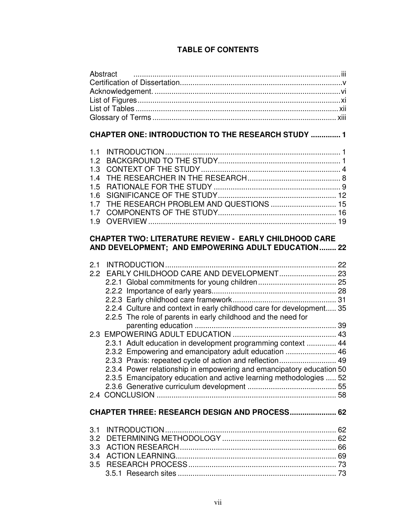## **TABLE OF CONTENTS**

| Abstract                                                                                                                                                                                                                                                                                                                        |  |  |  |  |
|---------------------------------------------------------------------------------------------------------------------------------------------------------------------------------------------------------------------------------------------------------------------------------------------------------------------------------|--|--|--|--|
| <b>CHAPTER ONE: INTRODUCTION TO THE RESEARCH STUDY  1</b>                                                                                                                                                                                                                                                                       |  |  |  |  |
| 1.1<br>1.2<br>1.3<br>1.4<br>1.5<br>1.6<br>THE RESEARCH PROBLEM AND QUESTIONS  15<br>1.7<br>1.7<br>1.9                                                                                                                                                                                                                           |  |  |  |  |
| <b>CHAPTER TWO: LITERATURE REVIEW - EARLY CHILDHOOD CARE</b><br>AND DEVELOPMENT; AND EMPOWERING ADULT EDUCATION 22                                                                                                                                                                                                              |  |  |  |  |
| 2.1<br>2.2 EARLY CHILDHOOD CARE AND DEVELOPMENT 23<br>2.2.4 Culture and context in early childhood care for development 35<br>2.2.5 The role of parents in early childhood and the need for                                                                                                                                     |  |  |  |  |
| 2.3.1 Adult education in development programming context  44<br>2.3.2 Empowering and emancipatory adult education  46<br>2.3.3 Praxis: repeated cycle of action and reflection 49<br>2.3.4 Power relationship in empowering and emancipatory education 50<br>2.3.5 Emancipatory education and active learning methodologies  52 |  |  |  |  |
| <b>CHAPTER THREE: RESEARCH DESIGN AND PROCESS 62</b>                                                                                                                                                                                                                                                                            |  |  |  |  |
| 3.1<br>3.2<br>3.3<br>3.4                                                                                                                                                                                                                                                                                                        |  |  |  |  |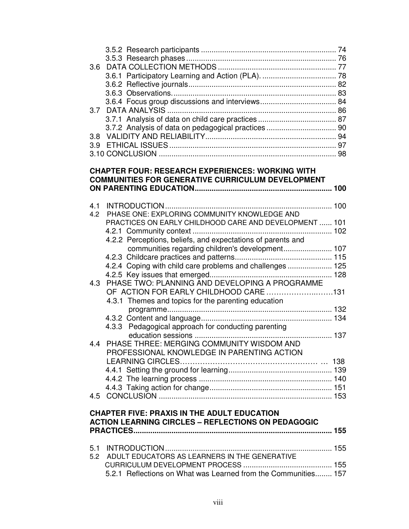| 3.6 |                                                                |  |
|-----|----------------------------------------------------------------|--|
|     |                                                                |  |
|     |                                                                |  |
|     |                                                                |  |
|     |                                                                |  |
| 3.7 |                                                                |  |
|     |                                                                |  |
|     | 3.7.2 Analysis of data on pedagogical practices  90            |  |
| 3.8 |                                                                |  |
|     |                                                                |  |
|     |                                                                |  |
|     |                                                                |  |
|     | <b>CHAPTER FOUR: RESEARCH EXPERIENCES: WORKING WITH</b>        |  |
|     | <b>COMMUNITIES FOR GENERATIVE CURRICULUM DEVELOPMENT</b>       |  |
|     |                                                                |  |
| 4.1 |                                                                |  |
| 4.2 | PHASE ONE: EXPLORING COMMUNITY KNOWLEDGE AND                   |  |
|     | PRACTICES ON EARLY CHILDHOOD CARE AND DEVELOPMENT  101         |  |
|     |                                                                |  |
|     | 4.2.2 Perceptions, beliefs, and expectations of parents and    |  |
|     | communities regarding children's development 107               |  |
|     |                                                                |  |
|     | 4.2.4 Coping with child care problems and challenges  125      |  |
|     |                                                                |  |
| 4.3 | PHASE TWO: PLANNING AND DEVELOPING A PROGRAMME                 |  |
|     | OF ACTION FOR EARLY CHILDHOOD CARE 131                         |  |
|     | 4.3.1 Themes and topics for the parenting education            |  |
|     |                                                                |  |
|     |                                                                |  |
|     | 4.3.3 Pedagogical approach for conducting parenting            |  |
|     |                                                                |  |
|     | 4.4 PHASE THREE: MERGING COMMUNITY WISDOM AND                  |  |
|     | PROFESSIONAL KNOWLEDGE IN PARENTING ACTION                     |  |
|     |                                                                |  |
|     |                                                                |  |
|     |                                                                |  |
|     |                                                                |  |
|     |                                                                |  |
|     |                                                                |  |
|     | <b>CHAPTER FIVE: PRAXIS IN THE ADULT EDUCATION</b>             |  |
|     | <b>ACTION LEARNING CIRCLES - REFLECTIONS ON PEDAGOGIC</b>      |  |
|     |                                                                |  |
|     |                                                                |  |
|     | 5.2 ADULT EDUCATORS AS LEARNERS IN THE GENERATIVE              |  |
|     |                                                                |  |
|     | 5.2.1 Reflections on What was Learned from the Communities 157 |  |
|     |                                                                |  |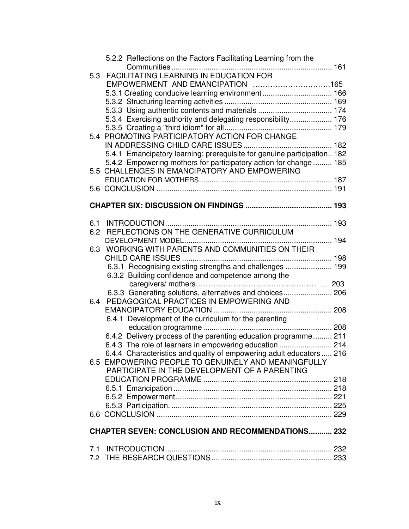| 5.2.2 Reflections on the Factors Facilitating Learning from the<br>FACILITATING LEARNING IN EDUCATION FOR<br>5.3<br>5.3.3 Using authentic contents and materials  174<br>5.3.4 Exercising authority and delegating responsibility 176<br>5.4 PROMOTING PARTICIPATORY ACTION FOR CHANGE |  |  |  |  |  |
|----------------------------------------------------------------------------------------------------------------------------------------------------------------------------------------------------------------------------------------------------------------------------------------|--|--|--|--|--|
| 5.4.1 Emancipatory learning: prerequisite for genuine participation 182<br>5.4.2 Empowering mothers for participatory action for change 185<br>5.5 CHALLENGES IN EMANCIPATORY AND EMPOWERING                                                                                           |  |  |  |  |  |
|                                                                                                                                                                                                                                                                                        |  |  |  |  |  |
|                                                                                                                                                                                                                                                                                        |  |  |  |  |  |
| 6.1<br>REFLECTIONS ON THE GENERATIVE CURRICULUM<br>6.2                                                                                                                                                                                                                                 |  |  |  |  |  |
| WORKING WITH PARENTS AND COMMUNITIES ON THEIR<br>6.3                                                                                                                                                                                                                                   |  |  |  |  |  |
| 6.3.1 Recognising existing strengths and challenges  199<br>6.3.2 Building confidence and competence among the                                                                                                                                                                         |  |  |  |  |  |
| 6.3.3 Generating solutions, alternatives and choices 206<br>PEDAGOGICAL PRACTICES IN EMPOWERING AND<br>6.4                                                                                                                                                                             |  |  |  |  |  |
| 6.4.1 Development of the curriculum for the parenting                                                                                                                                                                                                                                  |  |  |  |  |  |
| 6.4.2 Delivery process of the parenting education programme 211<br>6.4.3 The role of learners in empowering education  214                                                                                                                                                             |  |  |  |  |  |
| 6.4.4 Characteristics and quality of empowering adult educators  216<br>6.5 EMPOWERING PEOPLE TO GENUINELY AND MEANINGFULLY<br>PARTICIPATE IN THE DEVELOPMENT OF A PARENTING                                                                                                           |  |  |  |  |  |
|                                                                                                                                                                                                                                                                                        |  |  |  |  |  |
|                                                                                                                                                                                                                                                                                        |  |  |  |  |  |
|                                                                                                                                                                                                                                                                                        |  |  |  |  |  |
| <b>CHAPTER SEVEN: CONCLUSION AND RECOMMENDATIONS 232</b>                                                                                                                                                                                                                               |  |  |  |  |  |
|                                                                                                                                                                                                                                                                                        |  |  |  |  |  |
|                                                                                                                                                                                                                                                                                        |  |  |  |  |  |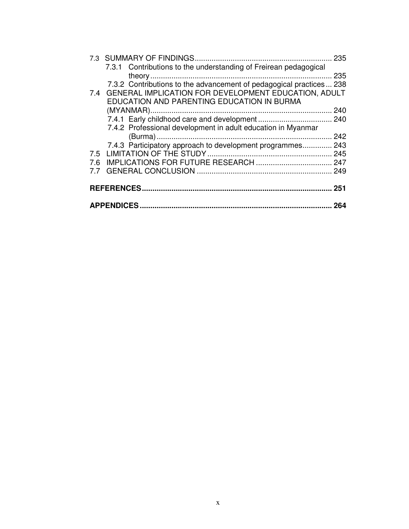|     |                                                                     | 235 |
|-----|---------------------------------------------------------------------|-----|
|     | 7.3.1 Contributions to the understanding of Freirean pedagogical    |     |
|     |                                                                     | 235 |
|     | 7.3.2 Contributions to the advancement of pedagogical practices 238 |     |
|     | 7.4 GENERAL IMPLICATION FOR DEVELOPMENT EDUCATION, ADULT            |     |
|     | EDUCATION AND PARENTING EDUCATION IN BURMA                          |     |
|     |                                                                     | 240 |
|     |                                                                     |     |
|     | 7.4.2 Professional development in adult education in Myanmar        |     |
|     |                                                                     |     |
|     | 7.4.3 Participatory approach to development programmes 243          |     |
|     |                                                                     |     |
| 7.6 |                                                                     |     |
| 7.7 |                                                                     |     |
|     |                                                                     |     |
|     | <b>REFERENCES</b>                                                   | 251 |
|     |                                                                     | 264 |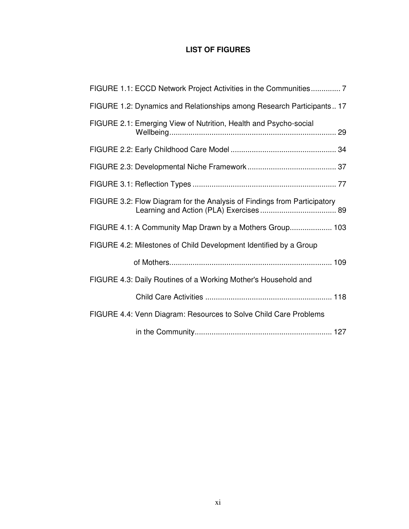## **LIST OF FIGURES**

| FIGURE 1.1: ECCD Network Project Activities in the Communities 7         |
|--------------------------------------------------------------------------|
| FIGURE 1.2: Dynamics and Relationships among Research Participants 17    |
| FIGURE 2.1: Emerging View of Nutrition, Health and Psycho-social         |
|                                                                          |
|                                                                          |
|                                                                          |
| FIGURE 3.2: Flow Diagram for the Analysis of Findings from Participatory |
| FIGURE 4.1: A Community Map Drawn by a Mothers Group 103                 |
| FIGURE 4.2: Milestones of Child Development Identified by a Group        |
|                                                                          |
| FIGURE 4.3: Daily Routines of a Working Mother's Household and           |
|                                                                          |
| FIGURE 4.4: Venn Diagram: Resources to Solve Child Care Problems         |
|                                                                          |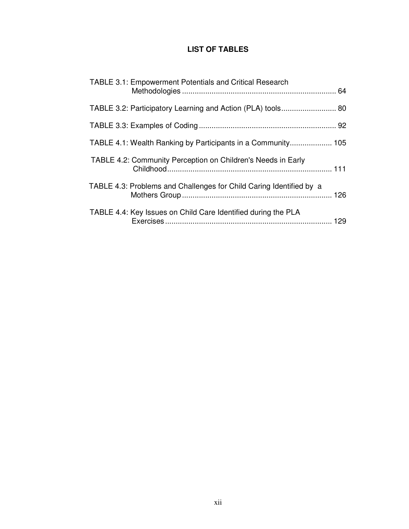## **LIST OF TABLES**

| <b>TABLE 3.1: Empowerment Potentials and Critical Research</b>      |  |
|---------------------------------------------------------------------|--|
| TABLE 3.2: Participatory Learning and Action (PLA) tools 80         |  |
|                                                                     |  |
| TABLE 4.1: Wealth Ranking by Participants in a Community 105        |  |
| TABLE 4.2: Community Perception on Children's Needs in Early        |  |
| TABLE 4.3: Problems and Challenges for Child Caring Identified by a |  |
| TABLE 4.4: Key Issues on Child Care Identified during the PLA       |  |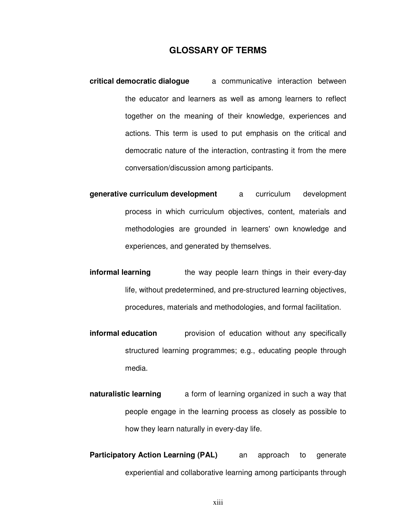#### **GLOSSARY OF TERMS**

- **critical democratic dialogue** a communicative interaction between the educator and learners as well as among learners to reflect together on the meaning of their knowledge, experiences and actions. This term is used to put emphasis on the critical and democratic nature of the interaction, contrasting it from the mere conversation/discussion among participants.
- **generative curriculum development** a curriculum development process in which curriculum objectives, content, materials and methodologies are grounded in learners'own knowledge and experiences, and generated by themselves.
- **informal learning** the way people learn things in their every-day life, without predetermined, and pre-structured learning objectives, procedures, materials and methodologies, and formal facilitation.
- **informal education** provision of education without any specifically structured learning programmes; e.g., educating people through media.
- **naturalistic learning** a form of learning organized in such a way that people engage in the learning process as closely as possible to how they learn naturally in every-day life.
- **Participatory Action Learning (PAL)** an approach to generate experiential and collaborative learning among participants through

xiii